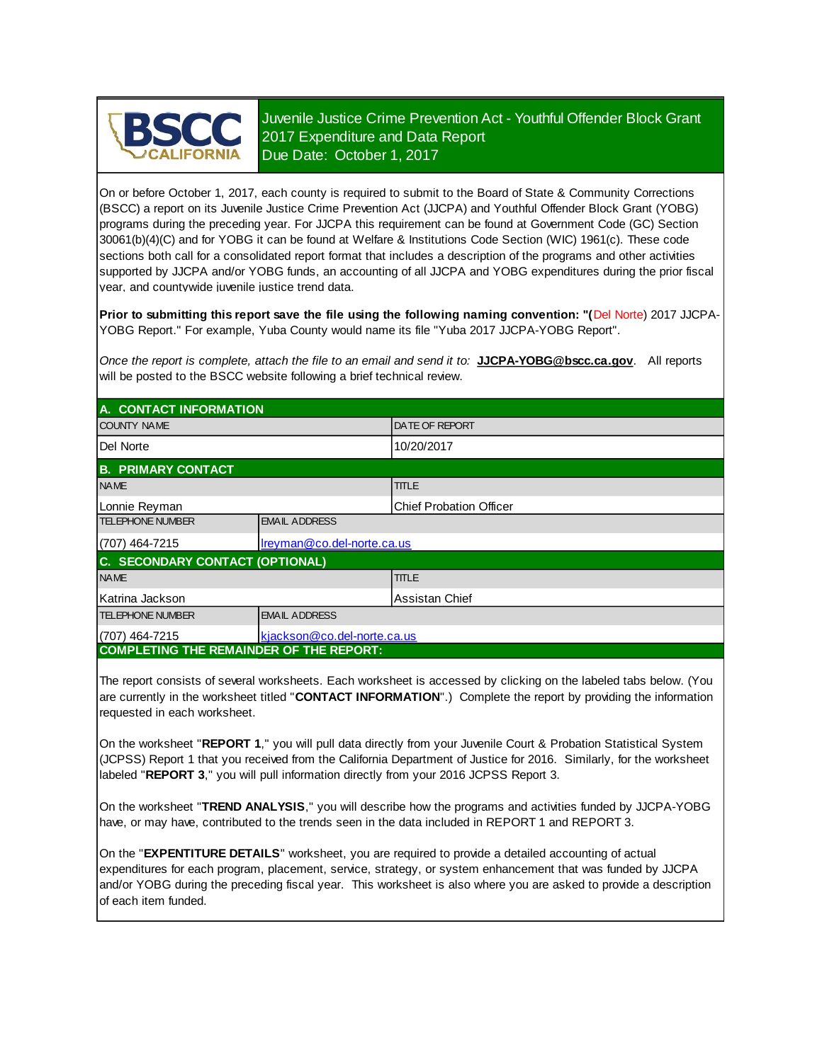

Juvenile Justice Crime Prevention Act - Youthful Offender Block Grant 2017 Expenditure and Data Report Due Date: October 1, 2017

On or before October 1, 2017, each county is required to submit to the Board of State & Community Corrections (BSCC) a report on its Juvenile Justice Crime Prevention Act (JJCPA) and Youthful Offender Block Grant (YOBG) programs during the preceding year. For JJCPA this requirement can be found at Government Code (GC) Section 30061(b)(4)(C) and for YOBG it can be found at Welfare & Institutions Code Section (WIC) 1961(c). These code sections both call for a consolidated report format that includes a description of the programs and other activities supported by JJCPA and/or YOBG funds, an accounting of all JJCPA and YOBG expenditures during the prior fiscal year, and countywide juvenile justice trend data.

**Prior to submitting this report save the file using the following naming convention: "(**Del Norte) 2017 JJCPA-YOBG Report." For example, Yuba County would name its file "Yuba 2017 JJCPA-YOBG Report".

*Once the report is complete, attach the file to an email and send it to:* **JJCPA-YOBG@bscc.ca.gov**. All reports will be posted to the BSCC website following a brief technical review.

| A. CONTACT INFORMATION                         |                             |                                |  |
|------------------------------------------------|-----------------------------|--------------------------------|--|
| <b>COUNTY NAME</b>                             |                             | <b>DATE OF REPORT</b>          |  |
| Del Norte                                      |                             | 10/20/2017                     |  |
| <b>B. PRIMARY CONTACT</b>                      |                             |                                |  |
| <b>NAME</b>                                    |                             | <b>TITLE</b>                   |  |
| Lonnie Reyman                                  |                             | <b>Chief Probation Officer</b> |  |
| <b>TELEPHONE NUMBER</b>                        | <b>EMAIL ADDRESS</b>        |                                |  |
| (707) 464-7215                                 | Ireyman@co.del-norte.ca.us  |                                |  |
| C. SECONDARY CONTACT (OPTIONAL)                |                             |                                |  |
| <b>NAME</b>                                    |                             | <b>TITLE</b>                   |  |
| Katrina Jackson                                | Assistan Chief              |                                |  |
| <b>TELEPHONE NUMBER</b>                        | <b>EMAIL ADDRESS</b>        |                                |  |
| (707) 464-7215                                 | kjackson@co.del-norte.ca.us |                                |  |
| <b>COMPLETING THE REMAINDER OF THE REPORT:</b> |                             |                                |  |

The report consists of several worksheets. Each worksheet is accessed by clicking on the labeled tabs below. (You are currently in the worksheet titled "**CONTACT INFORMATION**".) Complete the report by providing the information requested in each worksheet.

On the worksheet "**REPORT 1**," you will pull data directly from your Juvenile Court & Probation Statistical System (JCPSS) Report 1 that you received from the California Department of Justice for 2016. Similarly, for the worksheet labeled "**REPORT 3**," you will pull information directly from your 2016 JCPSS Report 3.

On the worksheet "**TREND ANALYSIS**," you will describe how the programs and activities funded by JJCPA-YOBG have, or may have, contributed to the trends seen in the data included in REPORT 1 and REPORT 3.

On the "**EXPENTITURE DETAILS**" worksheet, you are required to provide a detailed accounting of actual expenditures for each program, placement, service, strategy, or system enhancement that was funded by JJCPA and/or YOBG during the preceding fiscal year. This worksheet is also where you are asked to provide a description of each item funded.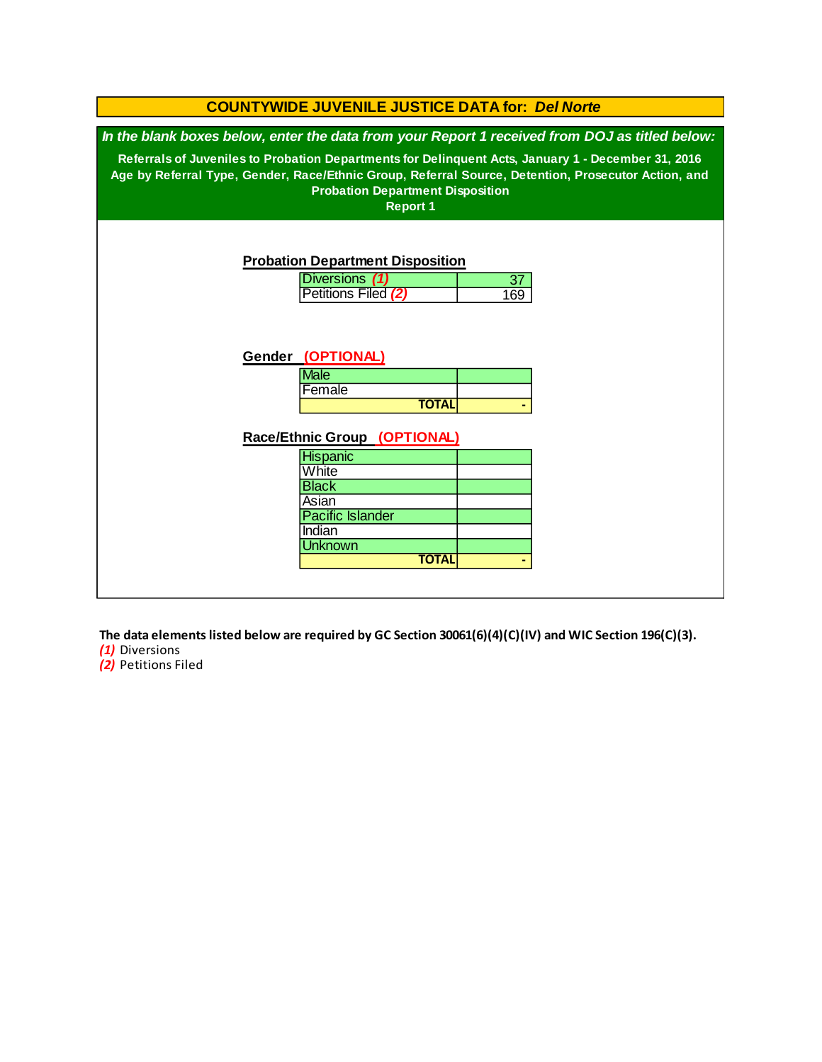| <b>COUNTYWIDE JUVENILE JUSTICE DATA for: Del Norte</b> |                                                                                                     |  |
|--------------------------------------------------------|-----------------------------------------------------------------------------------------------------|--|
|                                                        | In the blank boxes below, enter the data from your Report 1 received from DOJ as titled below:      |  |
|                                                        | Referrals of Juveniles to Probation Departments for Delinquent Acts, January 1 - December 31, 2016  |  |
|                                                        | Age by Referral Type, Gender, Race/Ethnic Group, Referral Source, Detention, Prosecutor Action, and |  |
| <b>Probation Department Disposition</b>                |                                                                                                     |  |
| <b>Report 1</b>                                        |                                                                                                     |  |
|                                                        |                                                                                                     |  |
|                                                        |                                                                                                     |  |
| <b>Probation Department Disposition</b>                |                                                                                                     |  |
| Diversions (1)                                         | 37                                                                                                  |  |
| Petitions Filed (2)                                    | 169                                                                                                 |  |
|                                                        |                                                                                                     |  |
|                                                        |                                                                                                     |  |
|                                                        |                                                                                                     |  |
| Gender (OPTIONAL)                                      |                                                                                                     |  |
| <b>Male</b><br>Female                                  |                                                                                                     |  |
| <b>TOTAL</b>                                           |                                                                                                     |  |
|                                                        |                                                                                                     |  |
| Race/Ethnic Group (OPTIONAL)                           |                                                                                                     |  |
| <b>Hispanic</b>                                        |                                                                                                     |  |
| White                                                  |                                                                                                     |  |
| <b>Black</b>                                           |                                                                                                     |  |
| Asian                                                  |                                                                                                     |  |
| <b>Pacific Islander</b>                                |                                                                                                     |  |
| Indian<br><b>Unknown</b>                               |                                                                                                     |  |
| <b>TOTAL</b>                                           |                                                                                                     |  |
|                                                        |                                                                                                     |  |
|                                                        |                                                                                                     |  |

**The data elements listed below are required by GC Section 30061(6)(4)(C)(IV) and WIC Section 196(C)(3).**

*(1)* Diversions

*(2)* Petitions Filed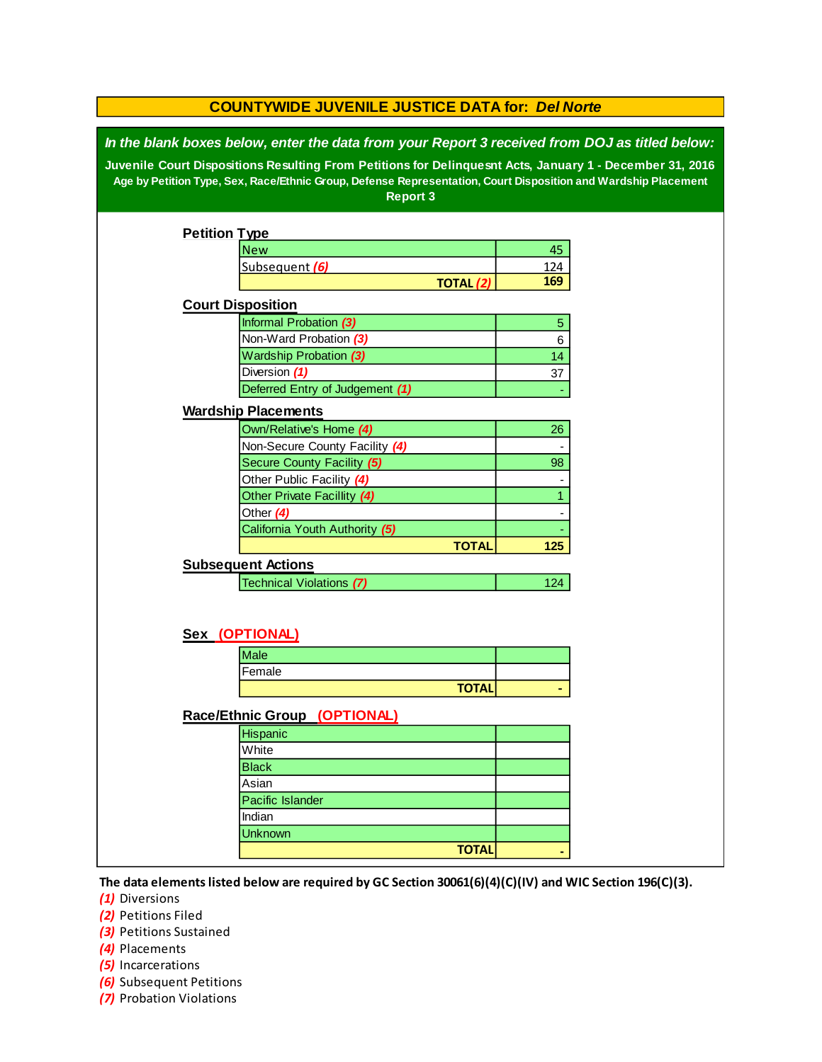| <b>COUNTYWIDE JUVENILE JUSTICE DATA for: Del Norte</b> |                                                                                                                                                                                                                                                                                                                                                 |                  |                |  |  |  |
|--------------------------------------------------------|-------------------------------------------------------------------------------------------------------------------------------------------------------------------------------------------------------------------------------------------------------------------------------------------------------------------------------------------------|------------------|----------------|--|--|--|
|                                                        | In the blank boxes below, enter the data from your Report 3 received from DOJ as titled below:<br>Juvenile Court Dispositions Resulting From Petitions for Delinquesnt Acts, January 1 - December 31, 2016<br>Age by Petition Type, Sex, Race/Ethnic Group, Defense Representation, Court Disposition and Wardship Placement<br><b>Report 3</b> |                  |                |  |  |  |
| <b>Petition Type</b>                                   |                                                                                                                                                                                                                                                                                                                                                 |                  |                |  |  |  |
|                                                        | <b>New</b>                                                                                                                                                                                                                                                                                                                                      |                  | 45             |  |  |  |
|                                                        | Subsequent (6)                                                                                                                                                                                                                                                                                                                                  |                  | 124            |  |  |  |
|                                                        |                                                                                                                                                                                                                                                                                                                                                 | <b>TOTAL (2)</b> | 169            |  |  |  |
|                                                        | <b>Court Disposition</b>                                                                                                                                                                                                                                                                                                                        |                  |                |  |  |  |
|                                                        | Informal Probation (3)                                                                                                                                                                                                                                                                                                                          |                  | $\overline{5}$ |  |  |  |
|                                                        | Non-Ward Probation (3)                                                                                                                                                                                                                                                                                                                          |                  | 6              |  |  |  |
|                                                        | <b>Wardship Probation (3)</b>                                                                                                                                                                                                                                                                                                                   |                  | 14             |  |  |  |
|                                                        | Diversion (1)                                                                                                                                                                                                                                                                                                                                   |                  | 37             |  |  |  |
|                                                        | Deferred Entry of Judgement (1)                                                                                                                                                                                                                                                                                                                 |                  |                |  |  |  |
|                                                        | <b>Wardship Placements</b>                                                                                                                                                                                                                                                                                                                      |                  |                |  |  |  |
|                                                        | Own/Relative's Home (4)                                                                                                                                                                                                                                                                                                                         |                  | 26             |  |  |  |
|                                                        | Non-Secure County Facility (4)                                                                                                                                                                                                                                                                                                                  |                  |                |  |  |  |
|                                                        | Secure County Facility (5)                                                                                                                                                                                                                                                                                                                      |                  | 98             |  |  |  |
|                                                        | Other Public Facility (4)                                                                                                                                                                                                                                                                                                                       |                  |                |  |  |  |
|                                                        | Other Private Facillity (4)                                                                                                                                                                                                                                                                                                                     |                  | $\mathbf{1}$   |  |  |  |
|                                                        | Other (4)                                                                                                                                                                                                                                                                                                                                       |                  |                |  |  |  |
|                                                        | California Youth Authority (5)                                                                                                                                                                                                                                                                                                                  |                  |                |  |  |  |
|                                                        |                                                                                                                                                                                                                                                                                                                                                 | <b>TOTAL</b>     | 125            |  |  |  |
|                                                        | <b>Subsequent Actions</b>                                                                                                                                                                                                                                                                                                                       |                  |                |  |  |  |
|                                                        | Technical Violations (7)                                                                                                                                                                                                                                                                                                                        |                  | 124            |  |  |  |
|                                                        |                                                                                                                                                                                                                                                                                                                                                 |                  |                |  |  |  |
|                                                        | Sex (OPTIONAL)                                                                                                                                                                                                                                                                                                                                  |                  |                |  |  |  |
|                                                        | <b>Male</b>                                                                                                                                                                                                                                                                                                                                     |                  |                |  |  |  |
|                                                        | Female                                                                                                                                                                                                                                                                                                                                          |                  |                |  |  |  |
|                                                        |                                                                                                                                                                                                                                                                                                                                                 | <b>TOTAL</b>     |                |  |  |  |
|                                                        | Race/Ethnic Group (OPTIONAL)                                                                                                                                                                                                                                                                                                                    |                  |                |  |  |  |
|                                                        | Hispanic                                                                                                                                                                                                                                                                                                                                        |                  |                |  |  |  |
|                                                        | White                                                                                                                                                                                                                                                                                                                                           |                  |                |  |  |  |
|                                                        | <b>Black</b>                                                                                                                                                                                                                                                                                                                                    |                  |                |  |  |  |
|                                                        | Asian                                                                                                                                                                                                                                                                                                                                           |                  |                |  |  |  |
|                                                        | Pacific Islander                                                                                                                                                                                                                                                                                                                                |                  |                |  |  |  |
|                                                        | Indian                                                                                                                                                                                                                                                                                                                                          |                  |                |  |  |  |
|                                                        | <b>Unknown</b>                                                                                                                                                                                                                                                                                                                                  |                  |                |  |  |  |
|                                                        |                                                                                                                                                                                                                                                                                                                                                 | <b>TOTAL</b>     |                |  |  |  |
|                                                        |                                                                                                                                                                                                                                                                                                                                                 |                  |                |  |  |  |

**The data elements listed below are required by GC Section 30061(6)(4)(C)(IV) and WIC Section 196(C)(3).**

*(1)* Diversions

*(2)* Petitions Filed

*(3)* Petitions Sustained

*(4)* Placements

*(5)* Incarcerations

- *(6)* Subsequent Petitions
- *(7)* Probation Violations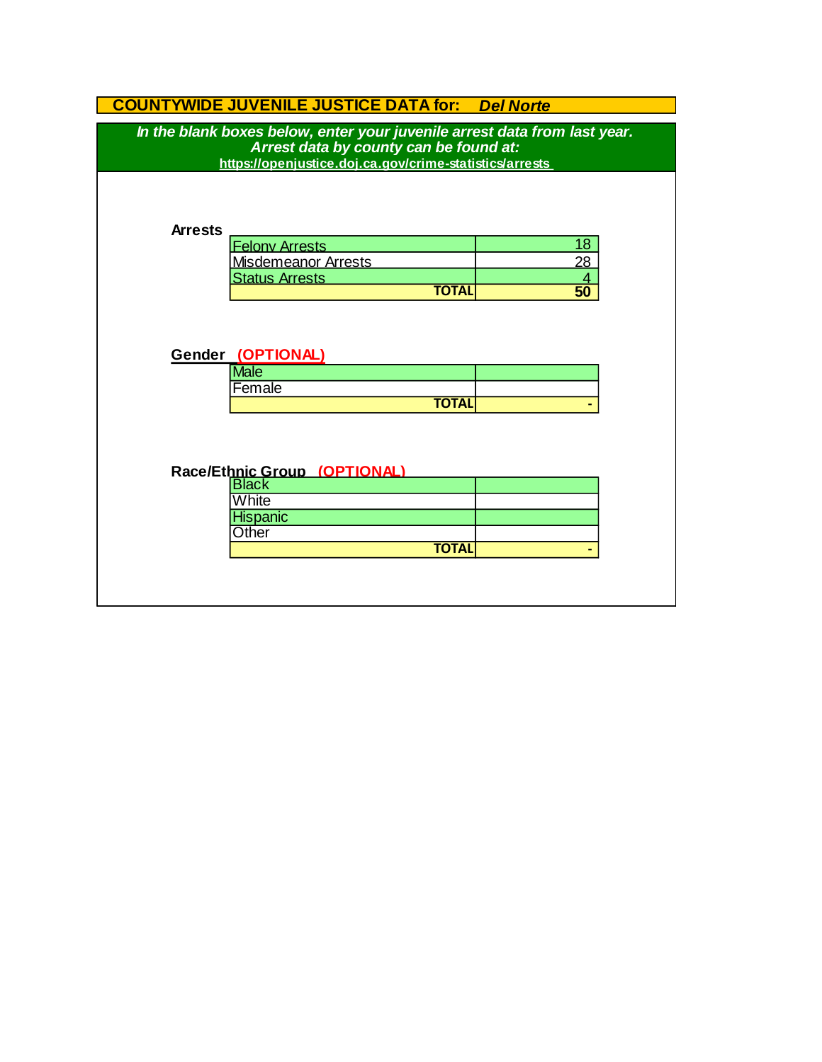| <b>COUNTYWIDE JUVENILE JUSTICE DATA for:</b> | <b>Del Norte</b> |
|----------------------------------------------|------------------|
|----------------------------------------------|------------------|

| Arrest data by county can be found at:<br>https://openjustice.doj.ca.gov/crime-statistics/arrests<br><b>Arrests</b><br>18<br><b>Felony Arrests</b><br>28<br><b>Misdemeanor Arrests</b><br><b>Status Arrests</b><br>$\overline{4}$<br>$\overline{50}$<br><b>TOTAL</b><br>Gender (OPTIONAL)<br><b>Male</b><br>Female<br><b>TOTAL</b><br>Race/Ethnic Group (OPTIONAL)<br><b>Black</b><br>White<br><b>Hispanic</b><br>Other<br><b>TOTAL</b> | <b>COUNTYWIDE JUVENILE JUSTICE DATA for: Del Norte</b>                    |  |  |  |  |  |
|-----------------------------------------------------------------------------------------------------------------------------------------------------------------------------------------------------------------------------------------------------------------------------------------------------------------------------------------------------------------------------------------------------------------------------------------|---------------------------------------------------------------------------|--|--|--|--|--|
|                                                                                                                                                                                                                                                                                                                                                                                                                                         | In the blank boxes below, enter your juvenile arrest data from last year. |  |  |  |  |  |
|                                                                                                                                                                                                                                                                                                                                                                                                                                         |                                                                           |  |  |  |  |  |
|                                                                                                                                                                                                                                                                                                                                                                                                                                         |                                                                           |  |  |  |  |  |
|                                                                                                                                                                                                                                                                                                                                                                                                                                         |                                                                           |  |  |  |  |  |
|                                                                                                                                                                                                                                                                                                                                                                                                                                         |                                                                           |  |  |  |  |  |
|                                                                                                                                                                                                                                                                                                                                                                                                                                         |                                                                           |  |  |  |  |  |
|                                                                                                                                                                                                                                                                                                                                                                                                                                         |                                                                           |  |  |  |  |  |
|                                                                                                                                                                                                                                                                                                                                                                                                                                         |                                                                           |  |  |  |  |  |
|                                                                                                                                                                                                                                                                                                                                                                                                                                         |                                                                           |  |  |  |  |  |
|                                                                                                                                                                                                                                                                                                                                                                                                                                         |                                                                           |  |  |  |  |  |
|                                                                                                                                                                                                                                                                                                                                                                                                                                         |                                                                           |  |  |  |  |  |
|                                                                                                                                                                                                                                                                                                                                                                                                                                         |                                                                           |  |  |  |  |  |
|                                                                                                                                                                                                                                                                                                                                                                                                                                         |                                                                           |  |  |  |  |  |
|                                                                                                                                                                                                                                                                                                                                                                                                                                         |                                                                           |  |  |  |  |  |
|                                                                                                                                                                                                                                                                                                                                                                                                                                         |                                                                           |  |  |  |  |  |
|                                                                                                                                                                                                                                                                                                                                                                                                                                         |                                                                           |  |  |  |  |  |
|                                                                                                                                                                                                                                                                                                                                                                                                                                         |                                                                           |  |  |  |  |  |
|                                                                                                                                                                                                                                                                                                                                                                                                                                         |                                                                           |  |  |  |  |  |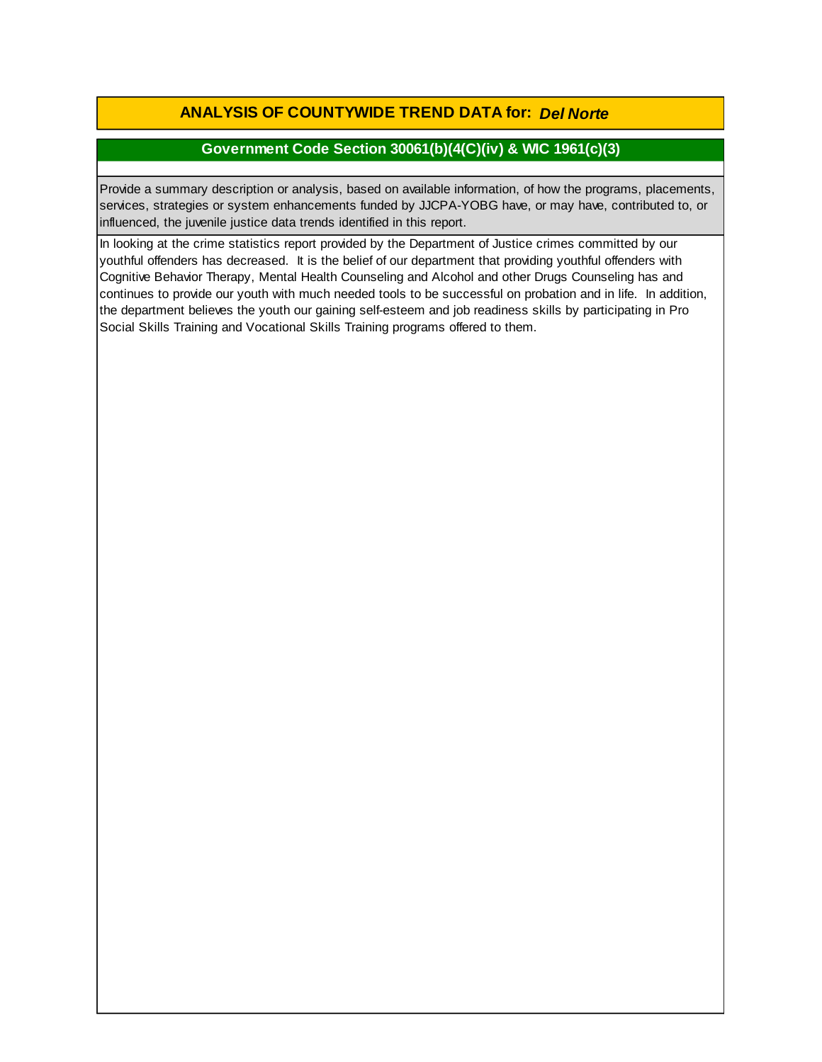**ANALYSIS OF COUNTYWIDE TREND DATA for:** *Del Norte*

## **Government Code Section 30061(b)(4(C)(iv) & WIC 1961(c)(3)**

Provide a summary description or analysis, based on available information, of how the programs, placements, services, strategies or system enhancements funded by JJCPA-YOBG have, or may have, contributed to, or influenced, the juvenile justice data trends identified in this report.

In looking at the crime statistics report provided by the Department of Justice crimes committed by our youthful offenders has decreased. It is the belief of our department that providing youthful offenders with Cognitive Behavior Therapy, Mental Health Counseling and Alcohol and other Drugs Counseling has and continues to provide our youth with much needed tools to be successful on probation and in life. In addition, the department believes the youth our gaining self-esteem and job readiness skills by participating in Pro Social Skills Training and Vocational Skills Training programs offered to them.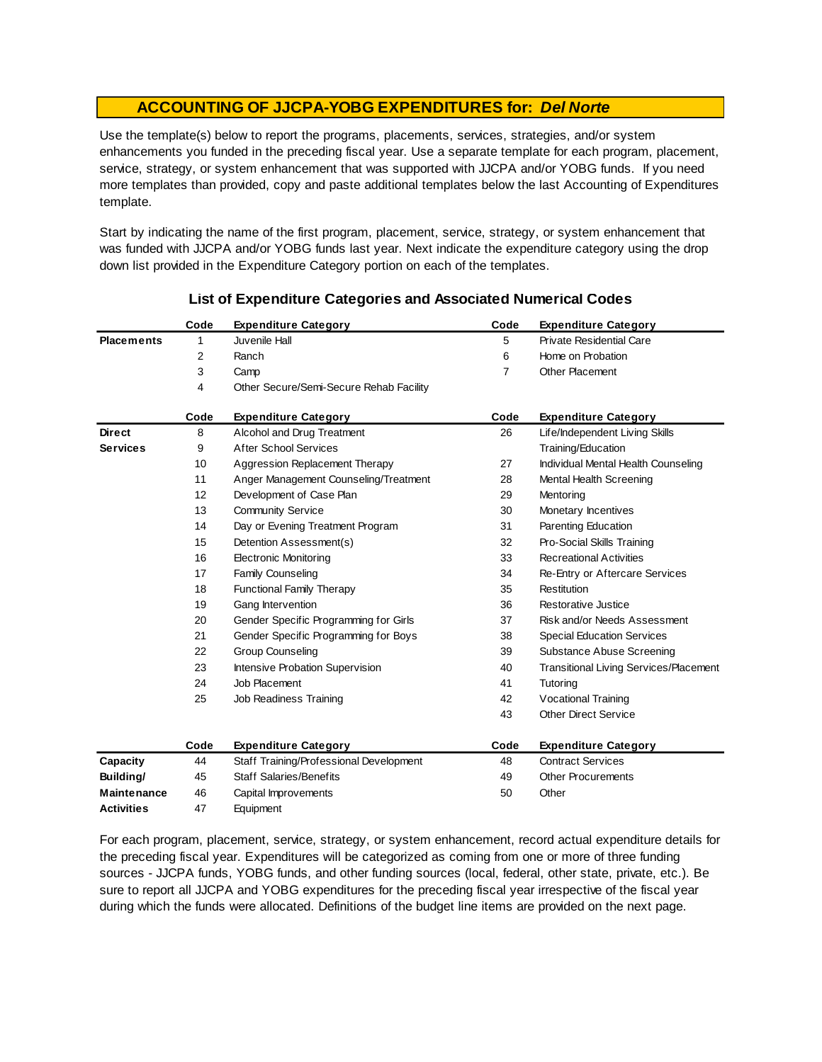Use the template(s) below to report the programs, placements, services, strategies, and/or system enhancements you funded in the preceding fiscal year. Use a separate template for each program, placement, service, strategy, or system enhancement that was supported with JJCPA and/or YOBG funds. If you need more templates than provided, copy and paste additional templates below the last Accounting of Expenditures template.

Start by indicating the name of the first program, placement, service, strategy, or system enhancement that was funded with JJCPA and/or YOBG funds last year. Next indicate the expenditure category using the drop down list provided in the Expenditure Category portion on each of the templates.

|                   | Code | <b>Expenditure Category</b>             | Code | <b>Expenditure Category</b>                   |
|-------------------|------|-----------------------------------------|------|-----------------------------------------------|
| <b>Placements</b> | 1    | Juvenile Hall                           | 5    | Private Residential Care                      |
|                   | 2    | Ranch                                   | 6    | Home on Probation                             |
|                   | 3    | Camp                                    | 7    | Other Placement                               |
|                   | 4    | Other Secure/Semi-Secure Rehab Facility |      |                                               |
|                   | Code | <b>Expenditure Category</b>             | Code | <b>Expenditure Category</b>                   |
| <b>Direct</b>     | 8    | Alcohol and Drug Treatment              | 26   | Life/Independent Living Skills                |
| <b>Services</b>   | 9    | After School Services                   |      | Training/Education                            |
|                   | 10   | Aggression Replacement Therapy          | 27   | Individual Mental Health Counseling           |
|                   | 11   | Anger Management Counseling/Treatment   | 28   | Mental Health Screening                       |
|                   | 12   | Development of Case Plan                | 29   | Mentoring                                     |
|                   | 13   | <b>Community Service</b>                | 30   | Monetary Incentives                           |
|                   | 14   | Day or Evening Treatment Program        | 31   | Parenting Education                           |
|                   | 15   | Detention Assessment(s)                 | 32   | Pro-Social Skills Training                    |
|                   | 16   | <b>Electronic Monitoring</b>            | 33   | <b>Recreational Activities</b>                |
|                   | 17   | Family Counseling                       | 34   | Re-Entry or Aftercare Services                |
|                   | 18   | <b>Functional Family Therapy</b>        | 35   | Restitution                                   |
|                   | 19   | Gang Intervention                       | 36   | Restorative Justice                           |
|                   | 20   | Gender Specific Programming for Girls   | 37   | Risk and/or Needs Assessment                  |
|                   | 21   | Gender Specific Programming for Boys    | 38   | <b>Special Education Services</b>             |
|                   | 22   | <b>Group Counseling</b>                 | 39   | Substance Abuse Screening                     |
|                   | 23   | Intensive Probation Supervision         | 40   | <b>Transitional Living Services/Placement</b> |
|                   | 24   | Job Placement                           | 41   | Tutoring                                      |
|                   | 25   | Job Readiness Training                  | 42   | <b>Vocational Training</b>                    |
|                   |      |                                         | 43   | <b>Other Direct Service</b>                   |
|                   | Code | <b>Expenditure Category</b>             | Code | <b>Expenditure Category</b>                   |
| Capacity          | 44   | Staff Training/Professional Development | 48   | <b>Contract Services</b>                      |
| Building/         | 45   | <b>Staff Salaries/Benefits</b>          | 49   | <b>Other Procurements</b>                     |
| Maintenance       | 46   | Capital Improvements                    | 50   | Other                                         |
| Activities        | 47   | Equipment                               |      |                                               |

#### **List of Expenditure Categories and Associated Numerical Codes**

For each program, placement, service, strategy, or system enhancement, record actual expenditure details for the preceding fiscal year. Expenditures will be categorized as coming from one or more of three funding sources - JJCPA funds, YOBG funds, and other funding sources (local, federal, other state, private, etc.). Be sure to report all JJCPA and YOBG expenditures for the preceding fiscal year irrespective of the fiscal year during which the funds were allocated. Definitions of the budget line items are provided on the next page.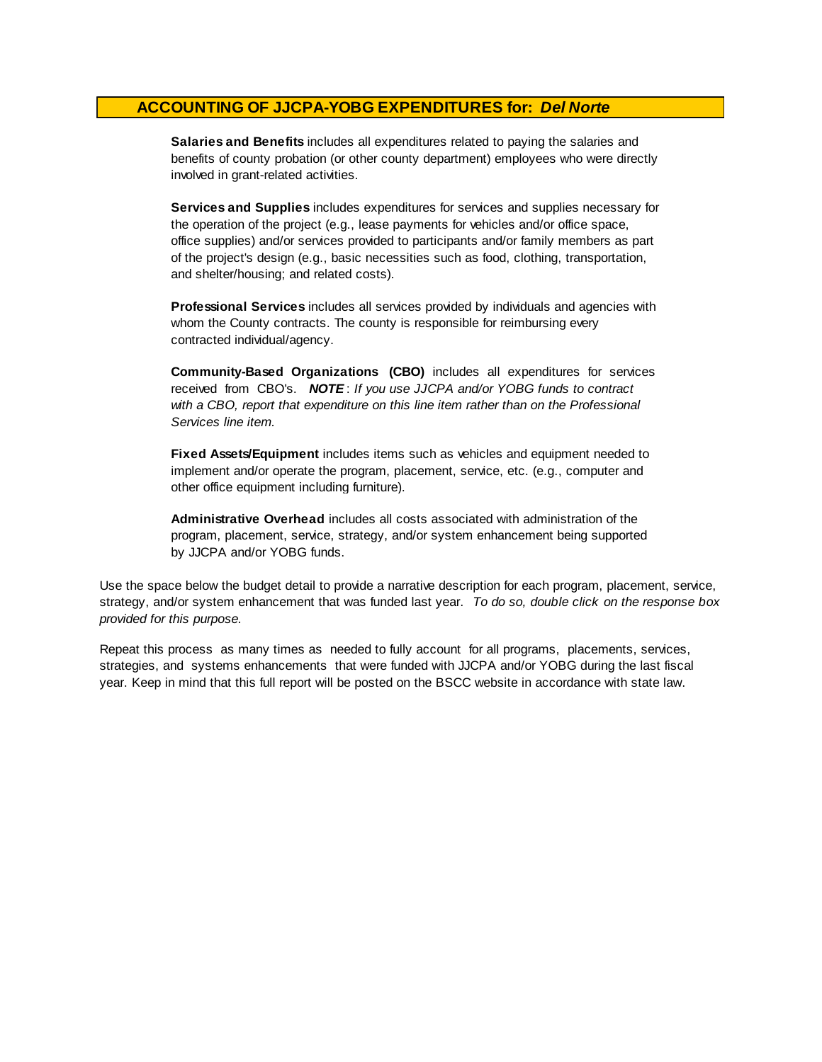**Salaries and Benefits** includes all expenditures related to paying the salaries and benefits of county probation (or other county department) employees who were directly involved in grant-related activities.

**Services and Supplies** includes expenditures for services and supplies necessary for the operation of the project (e.g., lease payments for vehicles and/or office space, office supplies) and/or services provided to participants and/or family members as part of the project's design (e.g., basic necessities such as food, clothing, transportation, and shelter/housing; and related costs).

**Professional Services** includes all services provided by individuals and agencies with whom the County contracts. The county is responsible for reimbursing every contracted individual/agency.

**Community-Based Organizations (CBO)** includes all expenditures for services received from CBO's. *NOTE* : *If you use JJCPA and/or YOBG funds to contract with a CBO, report that expenditure on this line item rather than on the Professional Services line item.*

**Fixed Assets/Equipment** includes items such as vehicles and equipment needed to implement and/or operate the program, placement, service, etc. (e.g., computer and other office equipment including furniture).

**Administrative Overhead** includes all costs associated with administration of the program, placement, service, strategy, and/or system enhancement being supported by JJCPA and/or YOBG funds.

Use the space below the budget detail to provide a narrative description for each program, placement, service, strategy, and/or system enhancement that was funded last year. *To do so, double click on the response box provided for this purpose.* 

Repeat this process as many times as needed to fully account for all programs, placements, services, strategies, and systems enhancements that were funded with JJCPA and/or YOBG during the last fiscal year. Keep in mind that this full report will be posted on the BSCC website in accordance with state law.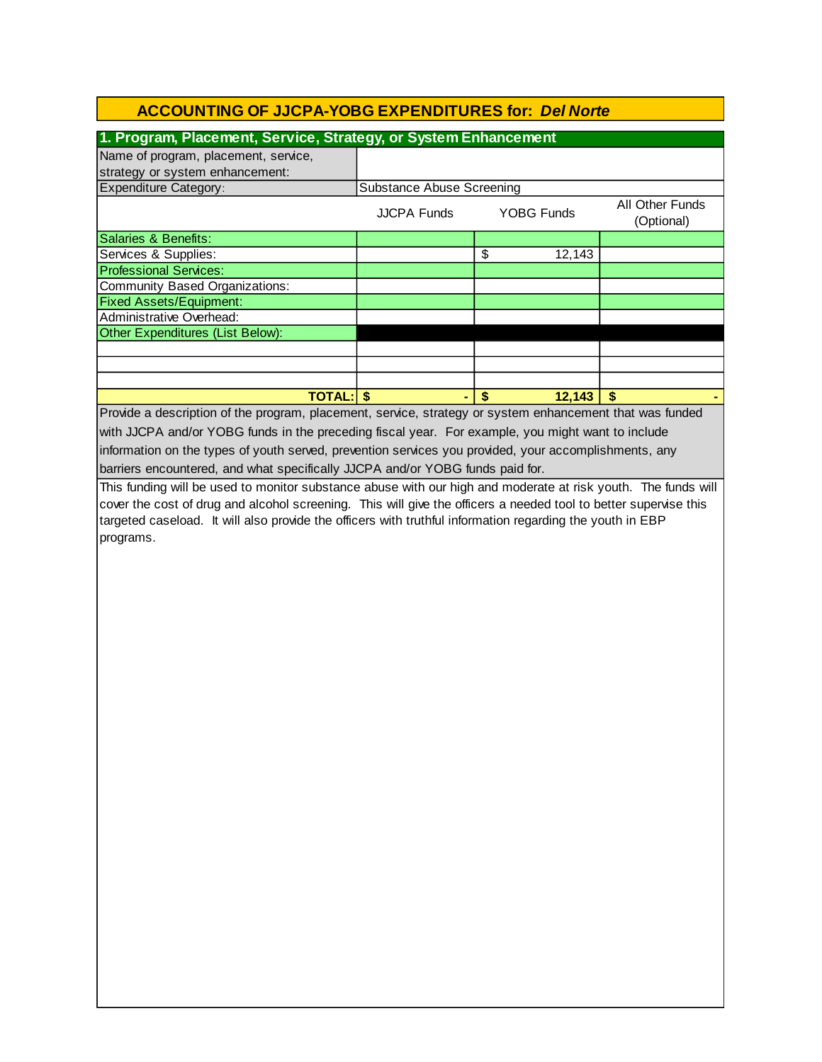| 1. Program, Placement, Service, Strategy, or System Enhancement                                                  |                                  |                         |                   |                               |  |  |
|------------------------------------------------------------------------------------------------------------------|----------------------------------|-------------------------|-------------------|-------------------------------|--|--|
| Name of program, placement, service,                                                                             |                                  |                         |                   |                               |  |  |
| strategy or system enhancement:                                                                                  |                                  |                         |                   |                               |  |  |
| Expenditure Category:                                                                                            | <b>Substance Abuse Screening</b> |                         |                   |                               |  |  |
|                                                                                                                  | <b>JJCPA Funds</b>               |                         | <b>YOBG Funds</b> | All Other Funds<br>(Optional) |  |  |
| Salaries & Benefits:                                                                                             |                                  |                         |                   |                               |  |  |
| Services & Supplies:                                                                                             |                                  | \$                      | 12,143            |                               |  |  |
| <b>Professional Services:</b>                                                                                    |                                  |                         |                   |                               |  |  |
| <b>Community Based Organizations:</b>                                                                            |                                  |                         |                   |                               |  |  |
| <b>Fixed Assets/Equipment:</b>                                                                                   |                                  |                         |                   |                               |  |  |
| Administrative Overhead:                                                                                         |                                  |                         |                   |                               |  |  |
| Other Expenditures (List Below):                                                                                 |                                  |                         |                   |                               |  |  |
|                                                                                                                  |                                  |                         |                   |                               |  |  |
|                                                                                                                  |                                  |                         |                   |                               |  |  |
|                                                                                                                  |                                  |                         |                   |                               |  |  |
| <b>TOTAL: S</b>                                                                                                  |                                  | $\overline{\mathbf{s}}$ | 12,143            | $\overline{\mathbf{s}}$       |  |  |
| Provide a description of the program, placement, service, strategy or system enhancement that was funded         |                                  |                         |                   |                               |  |  |
| with JJCPA and/or YOBG funds in the preceding fiscal year. For example, you might want to include                |                                  |                         |                   |                               |  |  |
| information on the types of youth served, prevention services you provided, your accomplishments, any            |                                  |                         |                   |                               |  |  |
| barriers encountered, and what specifically JJCPA and/or YOBG funds paid for.                                    |                                  |                         |                   |                               |  |  |
|                                                                                                                  |                                  |                         |                   |                               |  |  |
| This funding will be used to monitor substance abuse with our high and moderate at risk youth. The funds will    |                                  |                         |                   |                               |  |  |
| cover the cost of drug and alcohol screening. This will give the officers a needed tool to better supervise this |                                  |                         |                   |                               |  |  |
| targeted caseload. It will also provide the officers with truthful information regarding the youth in EBP        |                                  |                         |                   |                               |  |  |
| programs.                                                                                                        |                                  |                         |                   |                               |  |  |
|                                                                                                                  |                                  |                         |                   |                               |  |  |
|                                                                                                                  |                                  |                         |                   |                               |  |  |
|                                                                                                                  |                                  |                         |                   |                               |  |  |
|                                                                                                                  |                                  |                         |                   |                               |  |  |
|                                                                                                                  |                                  |                         |                   |                               |  |  |
|                                                                                                                  |                                  |                         |                   |                               |  |  |
|                                                                                                                  |                                  |                         |                   |                               |  |  |
|                                                                                                                  |                                  |                         |                   |                               |  |  |
|                                                                                                                  |                                  |                         |                   |                               |  |  |
|                                                                                                                  |                                  |                         |                   |                               |  |  |
|                                                                                                                  |                                  |                         |                   |                               |  |  |
|                                                                                                                  |                                  |                         |                   |                               |  |  |
|                                                                                                                  |                                  |                         |                   |                               |  |  |
|                                                                                                                  |                                  |                         |                   |                               |  |  |
|                                                                                                                  |                                  |                         |                   |                               |  |  |
|                                                                                                                  |                                  |                         |                   |                               |  |  |
|                                                                                                                  |                                  |                         |                   |                               |  |  |
|                                                                                                                  |                                  |                         |                   |                               |  |  |
|                                                                                                                  |                                  |                         |                   |                               |  |  |
|                                                                                                                  |                                  |                         |                   |                               |  |  |
|                                                                                                                  |                                  |                         |                   |                               |  |  |
|                                                                                                                  |                                  |                         |                   |                               |  |  |
|                                                                                                                  |                                  |                         |                   |                               |  |  |
|                                                                                                                  |                                  |                         |                   |                               |  |  |
|                                                                                                                  |                                  |                         |                   |                               |  |  |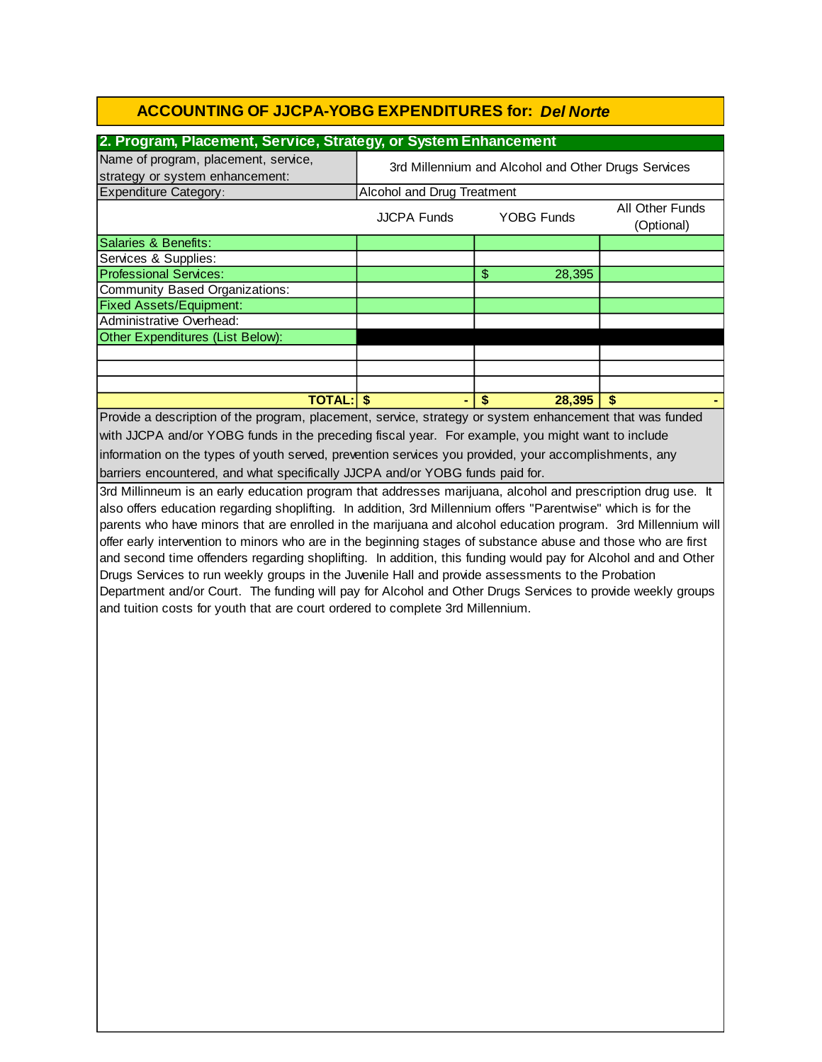#### **2. Program, Placement, Service, Strategy, or System Enhancement**

| Name of program, placement, service,<br>strategy or system enhancement:                                  | 3rd Millennium and Alcohol and Other Drugs Services               |    |        |  |  |  |  |
|----------------------------------------------------------------------------------------------------------|-------------------------------------------------------------------|----|--------|--|--|--|--|
| <b>Expenditure Category:</b>                                                                             | Alcohol and Drug Treatment                                        |    |        |  |  |  |  |
|                                                                                                          | All Other Funds<br><b>YOBG Funds</b><br>JJCPA Funds<br>(Optional) |    |        |  |  |  |  |
| Salaries & Benefits:                                                                                     |                                                                   |    |        |  |  |  |  |
| Services & Supplies:                                                                                     |                                                                   |    |        |  |  |  |  |
| Professional Services:                                                                                   |                                                                   | \$ | 28,395 |  |  |  |  |
| Community Based Organizations:                                                                           |                                                                   |    |        |  |  |  |  |
| <b>Fixed Assets/Equipment:</b>                                                                           |                                                                   |    |        |  |  |  |  |
| Administrative Overhead:                                                                                 |                                                                   |    |        |  |  |  |  |
| Other Expenditures (List Below):                                                                         |                                                                   |    |        |  |  |  |  |
|                                                                                                          |                                                                   |    |        |  |  |  |  |
|                                                                                                          |                                                                   |    |        |  |  |  |  |
|                                                                                                          |                                                                   |    |        |  |  |  |  |
| <b>TOTAL: \$</b><br>28,395<br>\$<br>\$.                                                                  |                                                                   |    |        |  |  |  |  |
| Provide a description of the program, placement, service, strategy or system enhancement that was funded |                                                                   |    |        |  |  |  |  |
| with JJCPA and/or YOBG funds in the preceding fiscal year. For example, you might want to include        |                                                                   |    |        |  |  |  |  |
| information on the types of youth served, prevention services you provided, your accomplishments, any    |                                                                   |    |        |  |  |  |  |
| barriers encountered, and what specifically JJCPA and/or YOBG funds paid for.                            |                                                                   |    |        |  |  |  |  |

3rd Millinneum is an early education program that addresses marijuana, alcohol and prescription drug use. It also offers education regarding shoplifting. In addition, 3rd Millennium offers "Parentwise" which is for the parents who have minors that are enrolled in the marijuana and alcohol education program. 3rd Millennium will offer early intervention to minors who are in the beginning stages of substance abuse and those who are first and second time offenders regarding shoplifting. In addition, this funding would pay for Alcohol and and Other Drugs Services to run weekly groups in the Juvenile Hall and provide assessments to the Probation Department and/or Court. The funding will pay for Alcohol and Other Drugs Services to provide weekly groups and tuition costs for youth that are court ordered to complete 3rd Millennium.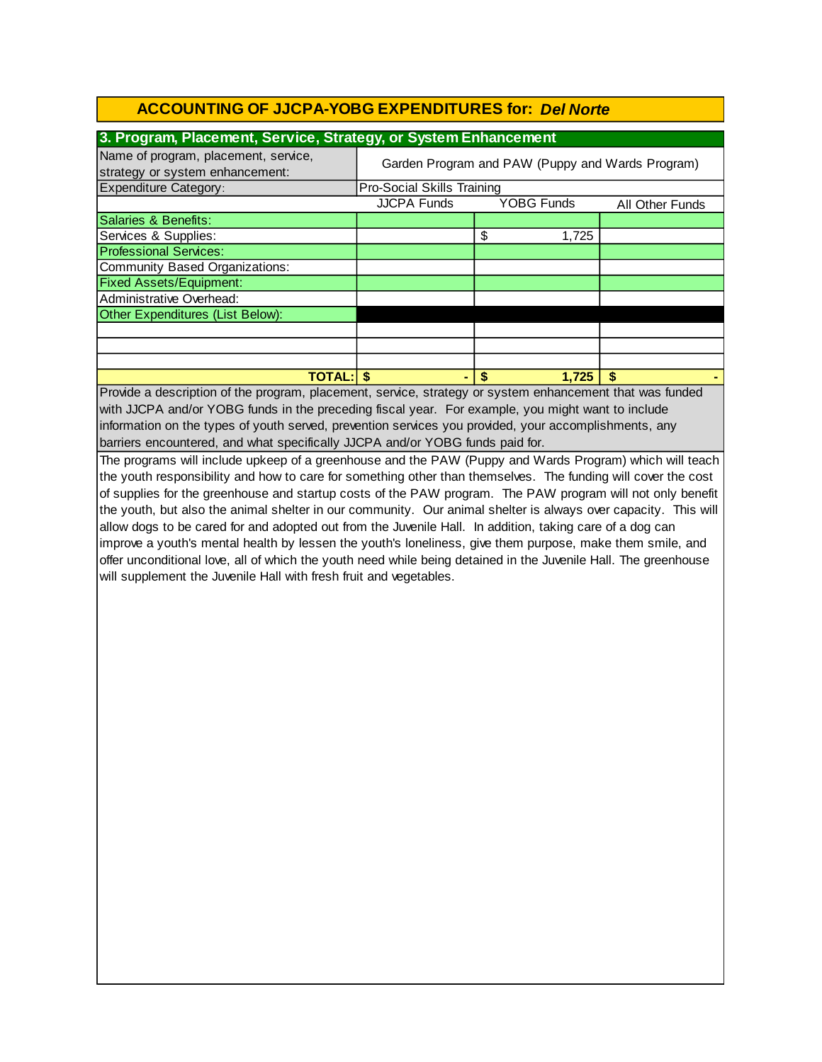| 3. Program, Placement, Service, Strategy, or System Enhancement                                       |                                                  |                   |                 |  |  |  |  |
|-------------------------------------------------------------------------------------------------------|--------------------------------------------------|-------------------|-----------------|--|--|--|--|
| Name of program, placement, service,<br>strategy or system enhancement:                               | Garden Program and PAW (Puppy and Wards Program) |                   |                 |  |  |  |  |
| <b>Expenditure Category:</b>                                                                          | <b>Pro-Social Skills Training</b>                |                   |                 |  |  |  |  |
|                                                                                                       | <b>JJCPA Funds</b>                               | <b>YOBG Funds</b> | All Other Funds |  |  |  |  |
| Salaries & Benefits:                                                                                  |                                                  |                   |                 |  |  |  |  |
| Services & Supplies:                                                                                  |                                                  | \$<br>1,725       |                 |  |  |  |  |
| <b>Professional Services:</b>                                                                         |                                                  |                   |                 |  |  |  |  |
| Community Based Organizations:                                                                        |                                                  |                   |                 |  |  |  |  |
| <b>Fixed Assets/Equipment:</b>                                                                        |                                                  |                   |                 |  |  |  |  |
| Administrative Overhead:                                                                              |                                                  |                   |                 |  |  |  |  |
| Other Expenditures (List Below):                                                                      |                                                  |                   |                 |  |  |  |  |
|                                                                                                       |                                                  |                   |                 |  |  |  |  |
|                                                                                                       |                                                  |                   |                 |  |  |  |  |
|                                                                                                       |                                                  |                   |                 |  |  |  |  |
| <b>TOTAL: \$</b><br>1.725<br>-S<br>۰                                                                  |                                                  |                   |                 |  |  |  |  |
| Provide a description of the program placement service strategy or system enhancement that was funded |                                                  |                   |                 |  |  |  |  |

barriers encountered, and what specifically JJCPA and/or YOBG funds paid for. Provide a description of the program, placement, service, strategy or system enhancement that was funded with JJCPA and/or YOBG funds in the preceding fiscal year. For example, you might want to include information on the types of youth served, prevention services you provided, your accomplishments, any

The programs will include upkeep of a greenhouse and the PAW (Puppy and Wards Program) which will teach the youth responsibility and how to care for something other than themselves. The funding will cover the cost of supplies for the greenhouse and startup costs of the PAW program. The PAW program will not only benefit the youth, but also the animal shelter in our community. Our animal shelter is always over capacity. This will allow dogs to be cared for and adopted out from the Juvenile Hall. In addition, taking care of a dog can improve a youth's mental health by lessen the youth's loneliness, give them purpose, make them smile, and offer unconditional love, all of which the youth need while being detained in the Juvenile Hall. The greenhouse will supplement the Juvenile Hall with fresh fruit and vegetables.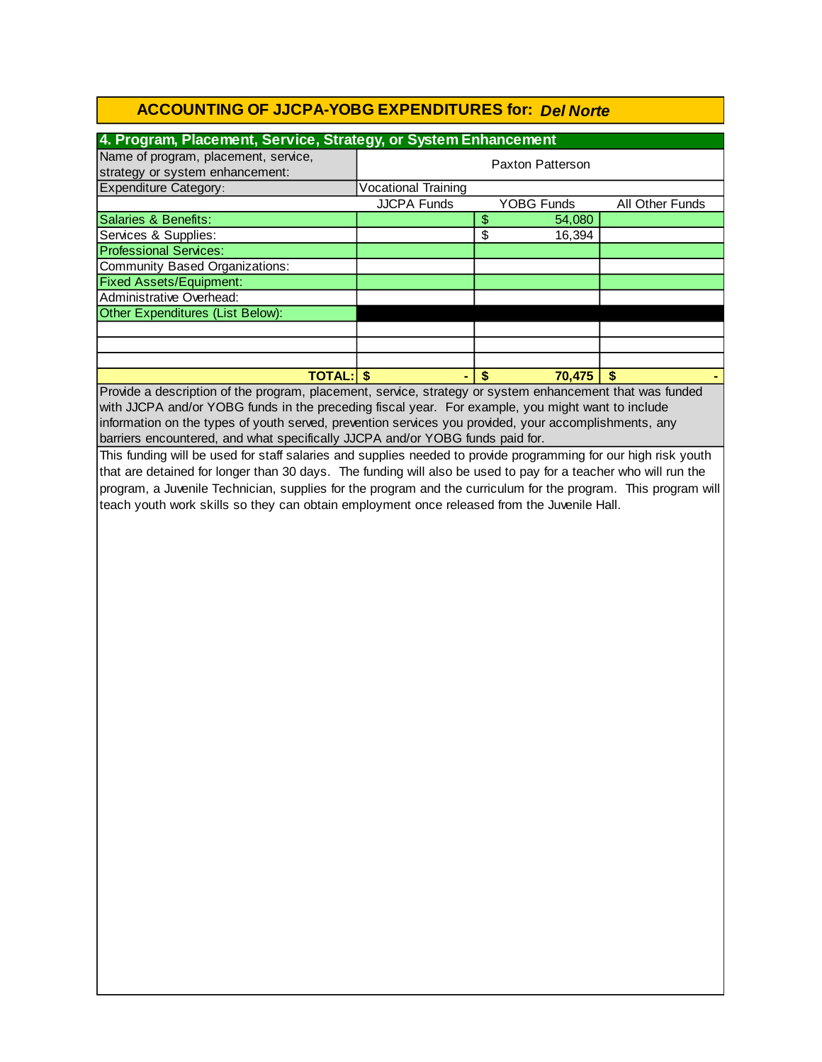| 4. Program, Placement, Service, Strategy, or System Enhancement         |                            |    |                   |                 |  |
|-------------------------------------------------------------------------|----------------------------|----|-------------------|-----------------|--|
| Name of program, placement, service,<br>strategy or system enhancement: | Paxton Patterson           |    |                   |                 |  |
| <b>Expenditure Category:</b>                                            | <b>Vocational Training</b> |    |                   |                 |  |
|                                                                         | <b>JJCPA Funds</b>         |    | <b>YOBG Funds</b> | All Other Funds |  |
| Salaries & Benefits:                                                    |                            | \$ | 54,080            |                 |  |
| Services & Supplies:                                                    |                            | \$ | 16,394            |                 |  |
| <b>Professional Services:</b>                                           |                            |    |                   |                 |  |
| Community Based Organizations:                                          |                            |    |                   |                 |  |
| <b>Fixed Assets/Equipment:</b>                                          |                            |    |                   |                 |  |
| Administrative Overhead:                                                |                            |    |                   |                 |  |
| Other Expenditures (List Below):                                        |                            |    |                   |                 |  |
|                                                                         |                            |    |                   |                 |  |
|                                                                         |                            |    |                   |                 |  |
|                                                                         |                            |    |                   |                 |  |
| <b>TOTAL: S</b>                                                         |                            | S  | 70,475            | S               |  |

with JJCPA and/or YOBG funds in the preceding fiscal year. For example, you might want to include Provide a description of the program, placement, service, strategy or system enhancement that was funded information on the types of youth served, prevention services you provided, your accomplishments, any barriers encountered, and what specifically JJCPA and/or YOBG funds paid for.

This funding will be used for staff salaries and supplies needed to provide programming for our high risk youth that are detained for longer than 30 days. The funding will also be used to pay for a teacher who will run the program, a Juvenile Technician, supplies for the program and the curriculum for the program. This program will teach youth work skills so they can obtain employment once released from the Juvenile Hall.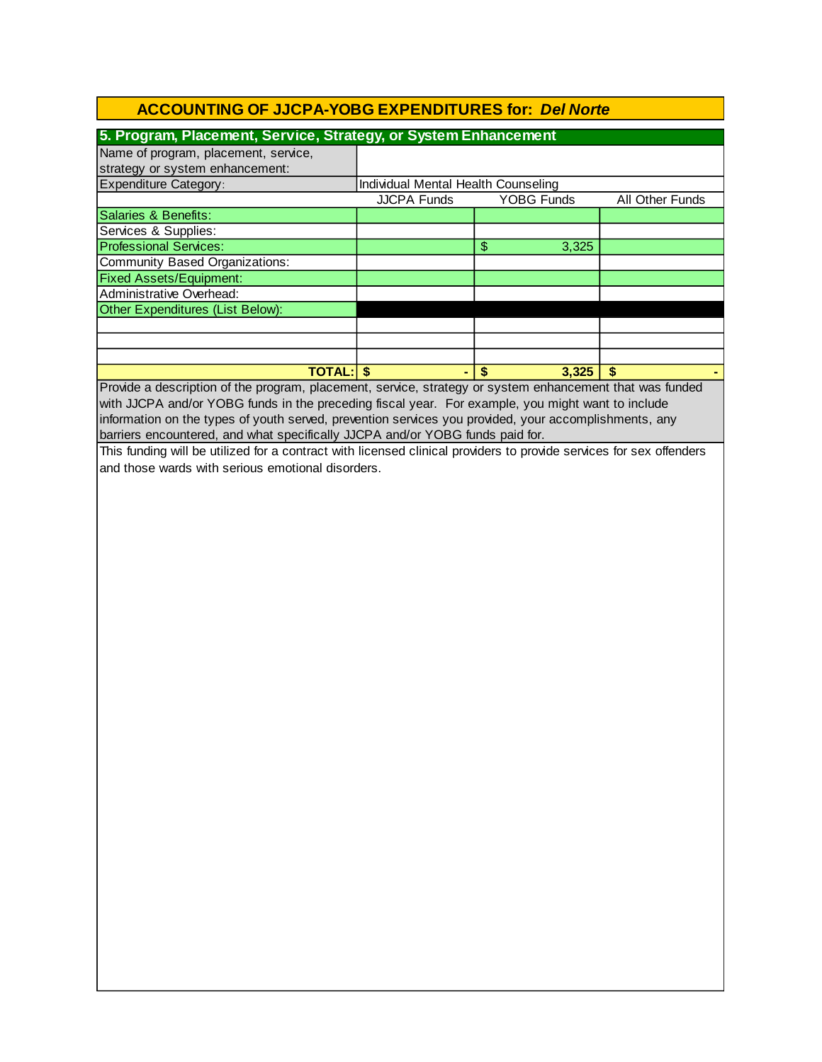| 5. Program, Placement, Service, Strategy, or System Enhancement                                       |                                     |                   |                 |
|-------------------------------------------------------------------------------------------------------|-------------------------------------|-------------------|-----------------|
| Name of program, placement, service,                                                                  |                                     |                   |                 |
| strategy or system enhancement:                                                                       |                                     |                   |                 |
| <b>Expenditure Category:</b>                                                                          | Individual Mental Health Counseling |                   |                 |
|                                                                                                       | <b>JJCPA Funds</b>                  | <b>YOBG Funds</b> | All Other Funds |
| Salaries & Benefits:                                                                                  |                                     |                   |                 |
| Services & Supplies:                                                                                  |                                     |                   |                 |
| <b>Professional Services:</b>                                                                         |                                     | \$<br>3,325       |                 |
| Community Based Organizations:                                                                        |                                     |                   |                 |
| <b>Fixed Assets/Equipment:</b>                                                                        |                                     |                   |                 |
| Administrative Overhead:                                                                              |                                     |                   |                 |
| Other Expenditures (List Below):                                                                      |                                     |                   |                 |
|                                                                                                       |                                     |                   |                 |
|                                                                                                       |                                     |                   |                 |
|                                                                                                       |                                     |                   |                 |
| <b>TOTAL:IS</b>                                                                                       |                                     | 3.325             |                 |
| Droide a decertation of the program placement, conice etrategy or ovators ephoneoment that was funded |                                     |                   |                 |

Provide a description of the program, placement, service, strategy or system enhancement that was funded with JJCPA and/or YOBG funds in the preceding fiscal year. For example, you might want to include information on the types of youth served, prevention services you provided, your accomplishments, any barriers encountered, and what specifically JJCPA and/or YOBG funds paid for.

This funding will be utilized for a contract with licensed clinical providers to provide services for sex offenders and those wards with serious emotional disorders.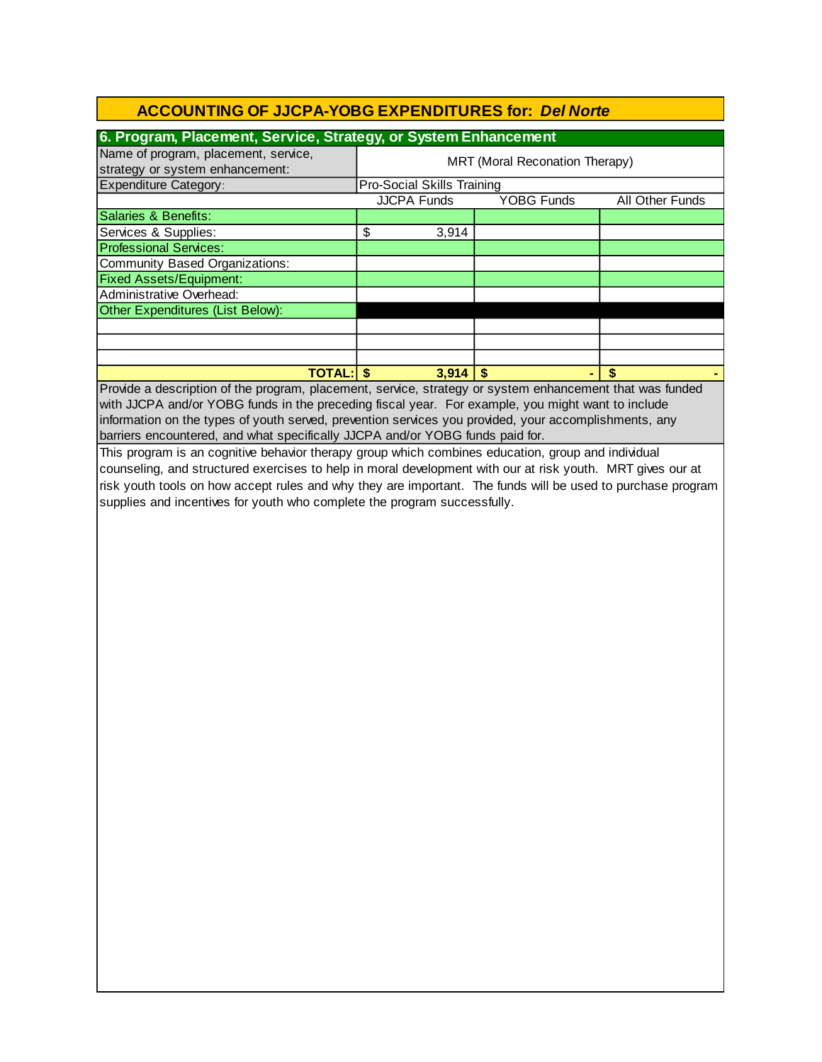| 6. Program, Placement, Service, Strategy, or System Enhancement                                             |                                   |                                |                 |  |  |  |
|-------------------------------------------------------------------------------------------------------------|-----------------------------------|--------------------------------|-----------------|--|--|--|
| Name of program, placement, service,                                                                        |                                   | MRT (Moral Reconation Therapy) |                 |  |  |  |
| strategy or system enhancement:                                                                             |                                   |                                |                 |  |  |  |
| <b>Expenditure Category:</b>                                                                                | Pro-Social Skills Training        |                                |                 |  |  |  |
|                                                                                                             | <b>JJCPA Funds</b>                | YOBG Funds                     | All Other Funds |  |  |  |
| Salaries & Benefits:                                                                                        |                                   |                                |                 |  |  |  |
| Services & Supplies:                                                                                        | $\overline{\mathcal{S}}$<br>3,914 |                                |                 |  |  |  |
| <b>Professional Services:</b>                                                                               |                                   |                                |                 |  |  |  |
| <b>Community Based Organizations:</b>                                                                       |                                   |                                |                 |  |  |  |
| <b>Fixed Assets/Equipment:</b>                                                                              |                                   |                                |                 |  |  |  |
| Administrative Overhead:                                                                                    |                                   |                                |                 |  |  |  |
| Other Expenditures (List Below):                                                                            |                                   |                                |                 |  |  |  |
|                                                                                                             |                                   |                                |                 |  |  |  |
|                                                                                                             |                                   |                                |                 |  |  |  |
|                                                                                                             |                                   |                                |                 |  |  |  |
| <b>TOTAL:</b>                                                                                               | $\vert \mathbf{\$}$<br>$3,914$ \$ |                                | \$              |  |  |  |
| Provide a description of the program, placement, service, strategy or system enhancement that was funded    |                                   |                                |                 |  |  |  |
| with JJCPA and/or YOBG funds in the preceding fiscal year. For example, you might want to include           |                                   |                                |                 |  |  |  |
| information on the types of youth served, prevention services you provided, your accomplishments, any       |                                   |                                |                 |  |  |  |
| barriers encountered, and what specifically JJCPA and/or YOBG funds paid for.                               |                                   |                                |                 |  |  |  |
| This program is an cognitive behavior therapy group which combines education, group and individual          |                                   |                                |                 |  |  |  |
| counseling, and structured exercises to help in moral development with our at risk youth. MRT gives our at  |                                   |                                |                 |  |  |  |
| risk youth tools on how accept rules and why they are important. The funds will be used to purchase program |                                   |                                |                 |  |  |  |
| supplies and incentives for youth who complete the program successfully.                                    |                                   |                                |                 |  |  |  |
|                                                                                                             |                                   |                                |                 |  |  |  |
|                                                                                                             |                                   |                                |                 |  |  |  |
|                                                                                                             |                                   |                                |                 |  |  |  |
|                                                                                                             |                                   |                                |                 |  |  |  |
|                                                                                                             |                                   |                                |                 |  |  |  |
|                                                                                                             |                                   |                                |                 |  |  |  |
|                                                                                                             |                                   |                                |                 |  |  |  |
|                                                                                                             |                                   |                                |                 |  |  |  |
|                                                                                                             |                                   |                                |                 |  |  |  |
|                                                                                                             |                                   |                                |                 |  |  |  |
|                                                                                                             |                                   |                                |                 |  |  |  |
|                                                                                                             |                                   |                                |                 |  |  |  |
|                                                                                                             |                                   |                                |                 |  |  |  |
|                                                                                                             |                                   |                                |                 |  |  |  |
|                                                                                                             |                                   |                                |                 |  |  |  |
|                                                                                                             |                                   |                                |                 |  |  |  |
|                                                                                                             |                                   |                                |                 |  |  |  |
|                                                                                                             |                                   |                                |                 |  |  |  |
|                                                                                                             |                                   |                                |                 |  |  |  |
|                                                                                                             |                                   |                                |                 |  |  |  |
|                                                                                                             |                                   |                                |                 |  |  |  |
|                                                                                                             |                                   |                                |                 |  |  |  |
|                                                                                                             |                                   |                                |                 |  |  |  |
|                                                                                                             |                                   |                                |                 |  |  |  |
|                                                                                                             |                                   |                                |                 |  |  |  |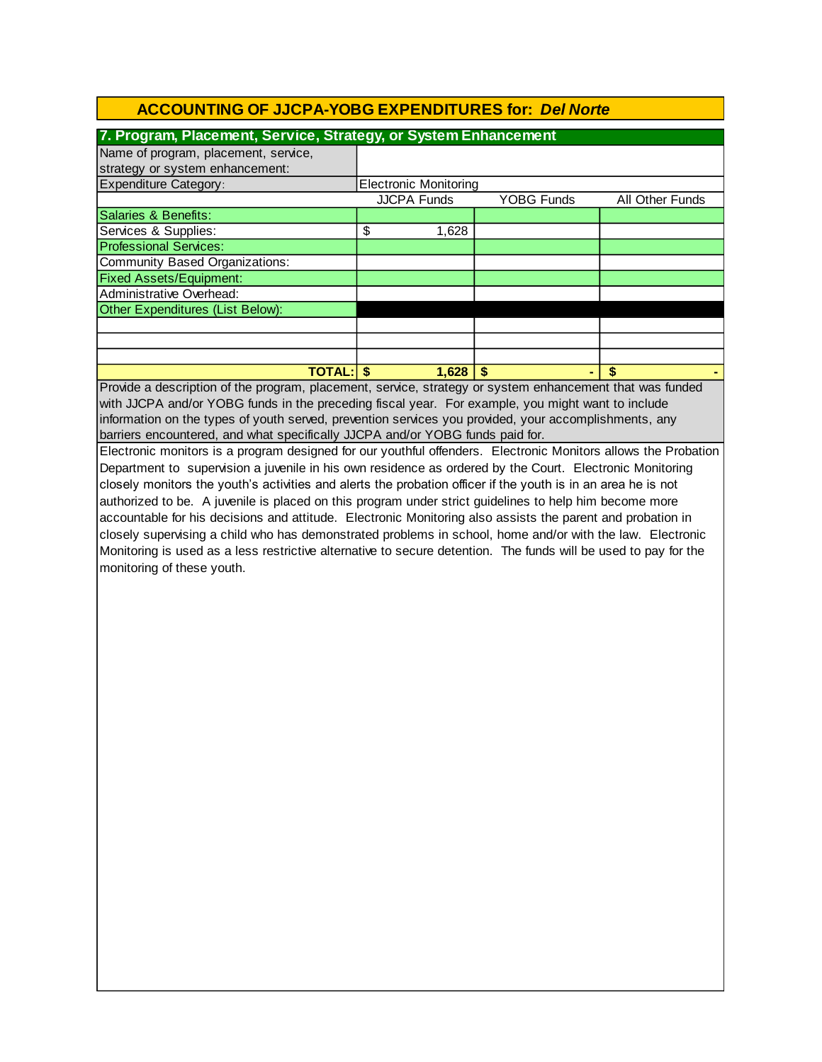| 7. Program, Placement, Service, Strategy, or System Enhancement |    |                              |                   |                 |  |  |  |  |
|-----------------------------------------------------------------|----|------------------------------|-------------------|-----------------|--|--|--|--|
| Name of program, placement, service,                            |    |                              |                   |                 |  |  |  |  |
| strategy or system enhancement:                                 |    |                              |                   |                 |  |  |  |  |
| <b>Expenditure Category:</b>                                    |    | <b>Electronic Monitoring</b> |                   |                 |  |  |  |  |
|                                                                 |    | <b>JJCPA Funds</b>           | <b>YOBG Funds</b> | All Other Funds |  |  |  |  |
| Salaries & Benefits:                                            |    |                              |                   |                 |  |  |  |  |
| Services & Supplies:                                            | \$ | 1,628                        |                   |                 |  |  |  |  |
| <b>Professional Services:</b>                                   |    |                              |                   |                 |  |  |  |  |
| <b>Community Based Organizations:</b>                           |    |                              |                   |                 |  |  |  |  |
| <b>Fixed Assets/Equipment:</b>                                  |    |                              |                   |                 |  |  |  |  |
| Administrative Overhead:                                        |    |                              |                   |                 |  |  |  |  |
| Other Expenditures (List Below):                                |    |                              |                   |                 |  |  |  |  |
|                                                                 |    |                              |                   |                 |  |  |  |  |
|                                                                 |    |                              |                   |                 |  |  |  |  |
|                                                                 |    |                              |                   |                 |  |  |  |  |
| <b>TOTAL: S</b>                                                 |    | 1,628                        |                   |                 |  |  |  |  |
| $\sim$ $\sim$<br>$\bullet$                                      |    |                              |                   |                 |  |  |  |  |

information on the types of youth served, prevention services you provided, your accomplishments, any barriers encountered, and what specifically JJCPA and/or YOBG funds paid for. Provide a description of the program, placement, service, strategy or system enhancement that was funded with JJCPA and/or YOBG funds in the preceding fiscal year. For example, you might want to include

Electronic monitors is a program designed for our youthful offenders. Electronic Monitors allows the Probation Department to supervision a juvenile in his own residence as ordered by the Court. Electronic Monitoring closely monitors the youth's activities and alerts the probation officer if the youth is in an area he is not authorized to be. A juvenile is placed on this program under strict guidelines to help him become more accountable for his decisions and attitude. Electronic Monitoring also assists the parent and probation in closely supervising a child who has demonstrated problems in school, home and/or with the law. Electronic Monitoring is used as a less restrictive alternative to secure detention. The funds will be used to pay for the monitoring of these youth.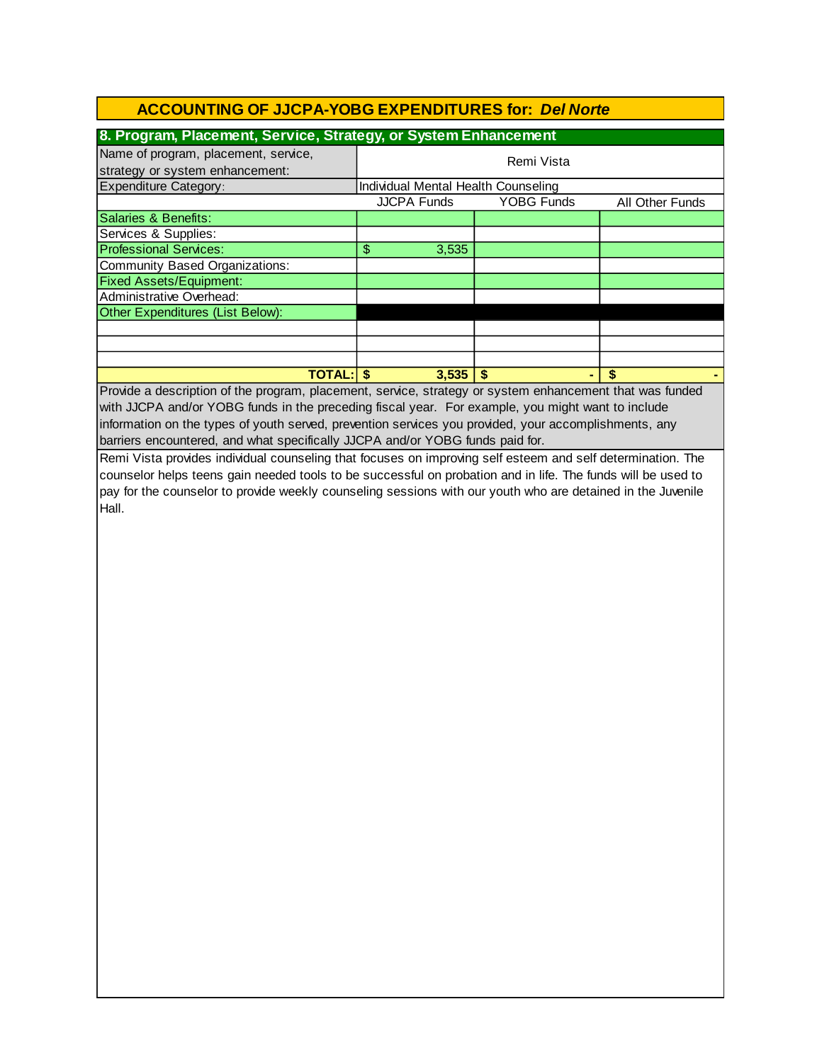| 8. Program, Placement, Service, Strategy, or System Enhancement         |                                     |                   |                 |  |  |  |  |  |
|-------------------------------------------------------------------------|-------------------------------------|-------------------|-----------------|--|--|--|--|--|
| Name of program, placement, service,<br>strategy or system enhancement: | Remi Vista                          |                   |                 |  |  |  |  |  |
| <b>Expenditure Category:</b>                                            | Individual Mental Health Counseling |                   |                 |  |  |  |  |  |
|                                                                         | <b>JJCPA Funds</b>                  | <b>YOBG Funds</b> | All Other Funds |  |  |  |  |  |
| Salaries & Benefits:                                                    |                                     |                   |                 |  |  |  |  |  |
| Services & Supplies:                                                    |                                     |                   |                 |  |  |  |  |  |
| <b>Professional Services:</b>                                           | 3,535<br>\$                         |                   |                 |  |  |  |  |  |
| Community Based Organizations:                                          |                                     |                   |                 |  |  |  |  |  |
| <b>Fixed Assets/Equipment:</b>                                          |                                     |                   |                 |  |  |  |  |  |
| Administrative Overhead:                                                |                                     |                   |                 |  |  |  |  |  |
| Other Expenditures (List Below):                                        |                                     |                   |                 |  |  |  |  |  |
|                                                                         |                                     |                   |                 |  |  |  |  |  |
|                                                                         |                                     |                   |                 |  |  |  |  |  |
|                                                                         |                                     |                   |                 |  |  |  |  |  |
| <b>TOTAL: S</b>                                                         | 3,535                               |                   | \$              |  |  |  |  |  |

barriers encountered, and what specifically JJCPA and/or YOBG funds paid for. Provide a description of the program, placement, service, strategy or system enhancement that was funded with JJCPA and/or YOBG funds in the preceding fiscal year. For example, you might want to include information on the types of youth served, prevention services you provided, your accomplishments, any

Remi Vista provides individual counseling that focuses on improving self esteem and self determination. The counselor helps teens gain needed tools to be successful on probation and in life. The funds will be used to pay for the counselor to provide weekly counseling sessions with our youth who are detained in the Juvenile Hall.